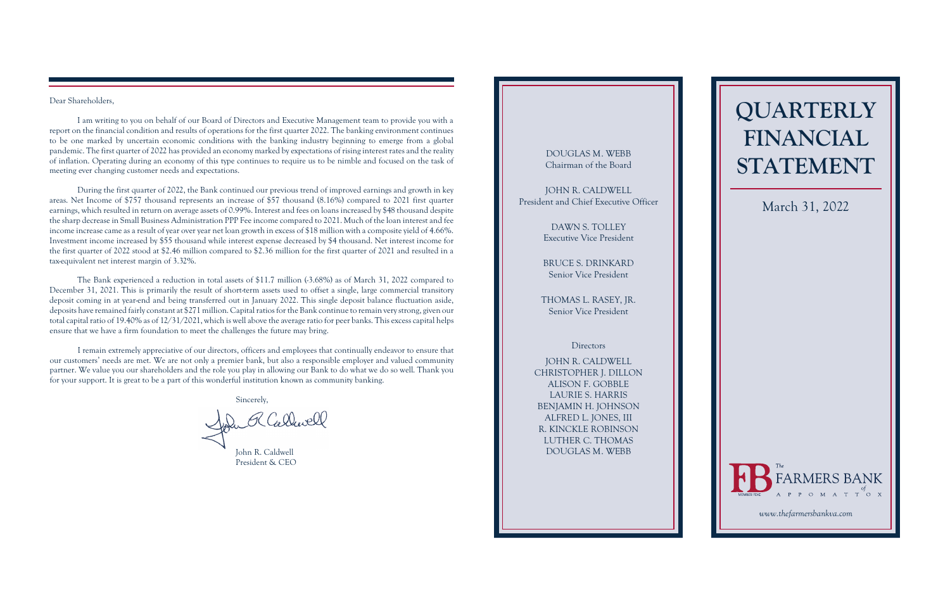# **QUARTERLY FINANCIAL STATEMENT**

#### Dear Shareholders,

I am writing to you on behalf of our Board of Directors and Executive Management team to provide you with a report on the financial condition and results of operations for the first quarter 2022. The banking environment continues to be one marked by uncertain economic conditions with the banking industry beginning to emerge from a global pandemic. The first quarter of 2022 has provided an economy marked by expectations of rising interest rates and the reality of inflation. Operating during an economy of this type continues to require us to be nimble and focused on the task of meeting ever changing customer needs and expectations.

The Bank experienced a reduction in total assets of \$11.7 million (-3.68%) as of March 31, 2022 compared to December 31, 2021. This is primarily the result of short-term assets used to offset a single, large commercial transitory deposit coming in at year-end and being transferred out in January 2022. This single deposit balance fluctuation aside, deposits have remained fairly constant at \$271 million. Capital ratios for the Bank continue to remain very strong, given our total capital ratio of 19.40% as of 12/31/2021, which is well above the average ratio for peer banks. This excess capital helps ensure that we have a firm foundation to meet the challenges the future may bring.

During the first quarter of 2022, the Bank continued our previous trend of improved earnings and growth in key areas. Net Income of \$757 thousand represents an increase of \$57 thousand (8.16%) compared to 2021 first quarter earnings, which resulted in return on average assets of 0.99%. Interest and fees on loans increased by \$48 thousand despite the sharp decrease in Small Business Administration PPP Fee income compared to 2021. Much of the loan interest and fee income increase came as a result of year over year net loan growth in excess of \$18 million with a composite yield of 4.66%. Investment income increased by \$55 thousand while interest expense decreased by \$4 thousand. Net interest income for the first quarter of 2022 stood at \$2.46 million compared to \$2.36 million for the first quarter of 2021 and resulted in a tax-equivalent net interest margin of 3.32%.

I remain extremely appreciative of our directors, officers and employees that continually endeavor to ensure that our customers' needs are met. We are not only a premier bank, but also a responsible employer and valued community partner. We value you our shareholders and the role you play in allowing our Bank to do what we do so well. Thank you for your support. It is great to be a part of this wonderful institution known as community banking.

Sincerely,

John R Callwell

## DOUGLAS M. WEBB Chairman of the Board

JOHN R. CALDWELL President and Chief Executive Officer

> DAWN S. TOLLEY Executive Vice President

> BRUCE S. DRINKARD Senior Vice President

THOMAS L. RASEY, JR. Senior Vice President

### **Directors**

JOHN R. CALDWELL CHRISTOPHER J. DILLON ALISON F. GOBBLE LAURIE S. HARRIS BENJAMIN H. JOHNSON ALFRED L. JONES, III R. KINCKLE ROBINSON LUTHER C. THOMAS DOUGLAS M. WEBB

## March 31, 2022



John R. Caldwell President & CEO

*<www.thefarmersbankva.com>*